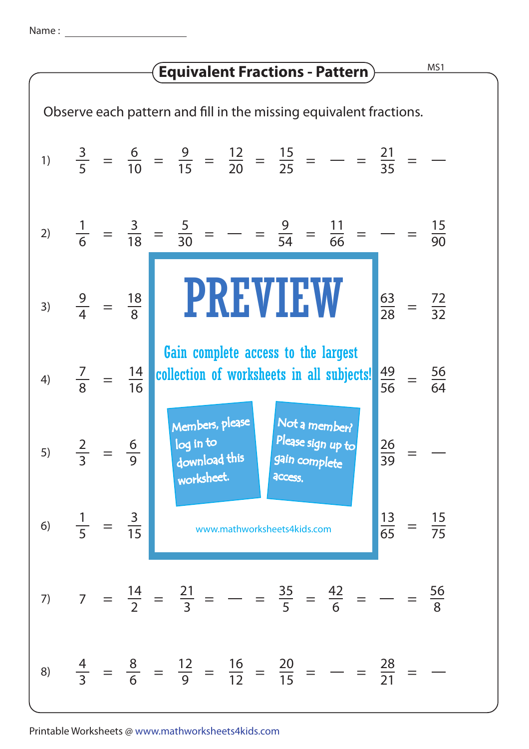